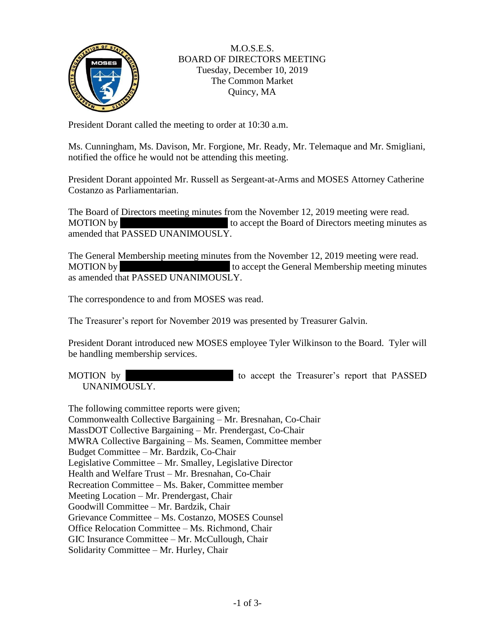

## M.O.S.E.S. BOARD OF DIRECTORS MEETING Tuesday, December 10, 2019 The Common Market Quincy, MA

President Dorant called the meeting to order at 10:30 a.m.

Ms. Cunningham, Ms. Davison, Mr. Forgione, Mr. Ready, Mr. Telemaque and Mr. Smigliani, notified the office he would not be attending this meeting.

President Dorant appointed Mr. Russell as Sergeant-at-Arms and MOSES Attorney Catherine Costanzo as Parliamentarian.

The Board of Directors meeting minutes from the November 12, 2019 meeting were read. MOTION by to accept the Board of Directors meeting minutes as amended that PASSED UNANIMOUSLY.

The General Membership meeting minutes from the November 12, 2019 meeting were read. MOTION by to accept the General Membership meeting minutes as amended that PASSED UNANIMOUSLY.

The correspondence to and from MOSES was read.

The Treasurer's report for November 2019 was presented by Treasurer Galvin.

President Dorant introduced new MOSES employee Tyler Wilkinson to the Board. Tyler will be handling membership services.

MOTION by to accept the Treasurer's report that PASSED UNANIMOUSLY.

The following committee reports were given; Commonwealth Collective Bargaining – Mr. Bresnahan, Co-Chair MassDOT Collective Bargaining – Mr. Prendergast, Co-Chair MWRA Collective Bargaining – Ms. Seamen, Committee member Budget Committee – Mr. Bardzik, Co-Chair Legislative Committee – Mr. Smalley, Legislative Director Health and Welfare Trust – Mr. Bresnahan, Co-Chair Recreation Committee – Ms. Baker, Committee member Meeting Location – Mr. Prendergast, Chair Goodwill Committee – Mr. Bardzik, Chair Grievance Committee – Ms. Costanzo, MOSES Counsel Office Relocation Committee – Ms. Richmond, Chair GIC Insurance Committee – Mr. McCullough, Chair Solidarity Committee – Mr. Hurley, Chair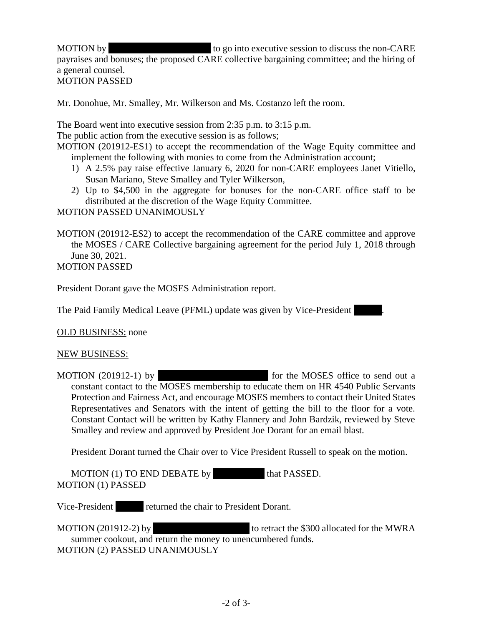MOTION by to go into executive session to discuss the non-CARE payraises and bonuses; the proposed CARE collective bargaining committee; and the hiring of a general counsel. MOTION PASSED

Mr. Donohue, Mr. Smalley, Mr. Wilkerson and Ms. Costanzo left the room.

The Board went into executive session from 2:35 p.m. to 3:15 p.m.

The public action from the executive session is as follows;

MOTION (201912-ES1) to accept the recommendation of the Wage Equity committee and implement the following with monies to come from the Administration account;

- 1) A 2.5% pay raise effective January 6, 2020 for non-CARE employees Janet Vitiello, Susan Mariano, Steve Smalley and Tyler Wilkerson,
- 2) Up to \$4,500 in the aggregate for bonuses for the non-CARE office staff to be distributed at the discretion of the Wage Equity Committee.

MOTION PASSED UNANIMOUSLY

MOTION (201912-ES2) to accept the recommendation of the CARE committee and approve the MOSES / CARE Collective bargaining agreement for the period July 1, 2018 through June 30, 2021.

MOTION PASSED

President Dorant gave the MOSES Administration report.

The Paid Family Medical Leave (PFML) update was given by Vice-President

OLD BUSINESS: none

NEW BUSINESS:

MOTION  $(201912-1)$  by  $\qquad \qquad$  for the MOSES office to send out a constant contact to the MOSES membership to educate them on HR 4540 Public Servants Protection and Fairness Act, and encourage MOSES members to contact their United States Representatives and Senators with the intent of getting the bill to the floor for a vote. Constant Contact will be written by Kathy Flannery and John Bardzik, reviewed by Steve Smalley and review and approved by President Joe Dorant for an email blast.

President Dorant turned the Chair over to Vice President Russell to speak on the motion.

 $MOTION (1) TO END DEBATE by that PASSED.$ MOTION (1) PASSED

Vice-President returned the chair to President Dorant.

MOTION (201912-2) by to retract the \$300 allocated for the MWRA summer cookout, and return the money to unencumbered funds. MOTION (2) PASSED UNANIMOUSLY